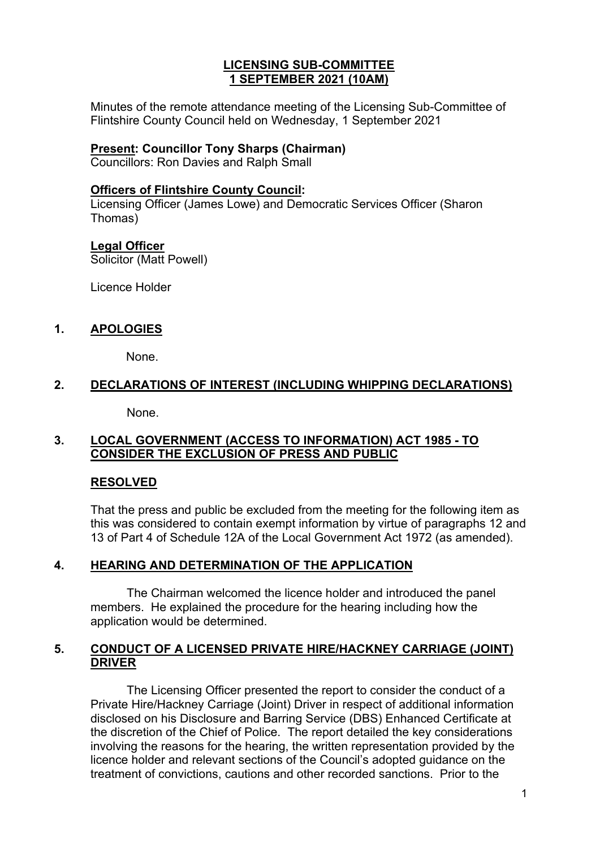### **LICENSING SUB-COMMITTEE 1 SEPTEMBER 2021 (10AM)**

Minutes of the remote attendance meeting of the Licensing Sub-Committee of Flintshire County Council held on Wednesday, 1 September 2021

#### **Present: Councillor Tony Sharps (Chairman)**

Councillors: Ron Davies and Ralph Small

#### **Officers of Flintshire County Council:**

Licensing Officer (James Lowe) and Democratic Services Officer (Sharon Thomas)

#### **Legal Officer**

Solicitor (Matt Powell)

Licence Holder

## **1. APOLOGIES**

None.

## **2. DECLARATIONS OF INTEREST (INCLUDING WHIPPING DECLARATIONS)**

None.

### **3. LOCAL GOVERNMENT (ACCESS TO INFORMATION) ACT 1985 - TO CONSIDER THE EXCLUSION OF PRESS AND PUBLIC**

### **RESOLVED**

That the press and public be excluded from the meeting for the following item as this was considered to contain exempt information by virtue of paragraphs 12 and 13 of Part 4 of Schedule 12A of the Local Government Act 1972 (as amended).

### **4. HEARING AND DETERMINATION OF THE APPLICATION**

The Chairman welcomed the licence holder and introduced the panel members. He explained the procedure for the hearing including how the application would be determined.

### **5. CONDUCT OF A LICENSED PRIVATE HIRE/HACKNEY CARRIAGE (JOINT) DRIVER**

The Licensing Officer presented the report to consider the conduct of a Private Hire/Hackney Carriage (Joint) Driver in respect of additional information disclosed on his Disclosure and Barring Service (DBS) Enhanced Certificate at the discretion of the Chief of Police. The report detailed the key considerations involving the reasons for the hearing, the written representation provided by the licence holder and relevant sections of the Council's adopted guidance on the treatment of convictions, cautions and other recorded sanctions. Prior to the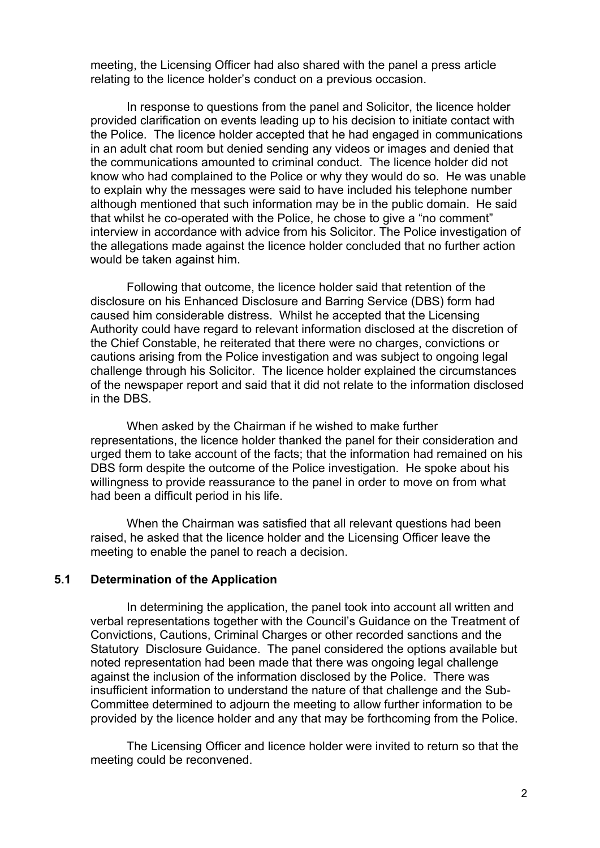meeting, the Licensing Officer had also shared with the panel a press article relating to the licence holder's conduct on a previous occasion.

In response to questions from the panel and Solicitor, the licence holder provided clarification on events leading up to his decision to initiate contact with the Police. The licence holder accepted that he had engaged in communications in an adult chat room but denied sending any videos or images and denied that the communications amounted to criminal conduct. The licence holder did not know who had complained to the Police or why they would do so. He was unable to explain why the messages were said to have included his telephone number although mentioned that such information may be in the public domain. He said that whilst he co-operated with the Police, he chose to give a "no comment" interview in accordance with advice from his Solicitor. The Police investigation of the allegations made against the licence holder concluded that no further action would be taken against him.

Following that outcome, the licence holder said that retention of the disclosure on his Enhanced Disclosure and Barring Service (DBS) form had caused him considerable distress. Whilst he accepted that the Licensing Authority could have regard to relevant information disclosed at the discretion of the Chief Constable, he reiterated that there were no charges, convictions or cautions arising from the Police investigation and was subject to ongoing legal challenge through his Solicitor. The licence holder explained the circumstances of the newspaper report and said that it did not relate to the information disclosed in the DBS.

When asked by the Chairman if he wished to make further representations, the licence holder thanked the panel for their consideration and urged them to take account of the facts; that the information had remained on his DBS form despite the outcome of the Police investigation. He spoke about his willingness to provide reassurance to the panel in order to move on from what had been a difficult period in his life.

When the Chairman was satisfied that all relevant questions had been raised, he asked that the licence holder and the Licensing Officer leave the meeting to enable the panel to reach a decision.

## **5.1 Determination of the Application**

In determining the application, the panel took into account all written and verbal representations together with the Council's Guidance on the Treatment of Convictions, Cautions, Criminal Charges or other recorded sanctions and the Statutory Disclosure Guidance. The panel considered the options available but noted representation had been made that there was ongoing legal challenge against the inclusion of the information disclosed by the Police. There was insufficient information to understand the nature of that challenge and the Sub-Committee determined to adjourn the meeting to allow further information to be provided by the licence holder and any that may be forthcoming from the Police.

The Licensing Officer and licence holder were invited to return so that the meeting could be reconvened.